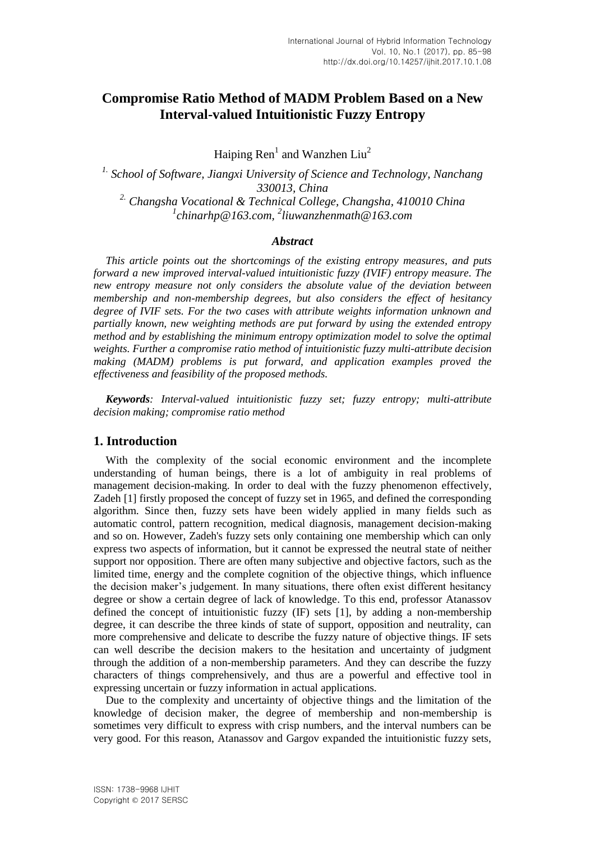# **Compromise Ratio Method of MADM Problem Based on a New Interval-valued Intuitionistic Fuzzy Entropy**

Haiping  $\text{Ren}^1$  and Wanzhen Liu<sup>2</sup>

*1. School of Software, Jiangxi University of Science and Technology, Nanchang 330013, China 2. Changsha Vocational & Technical College, Changsha, 410010 China 1 chinarhp@163.com, <sup>2</sup> liuwanzhenmath@163.com*

### *Abstract*

*This article points out the shortcomings of the existing entropy measures, and puts forward a new improved interval-valued intuitionistic fuzzy (IVIF) entropy measure. The new entropy measure not only considers the absolute value of the deviation between membership and non-membership degrees, but also considers the effect of hesitancy degree of IVIF sets. For the two cases with attribute weights information unknown and partially known, new weighting methods are put forward by using the extended entropy method and by establishing the minimum entropy optimization model to solve the optimal weights. Further a compromise ratio method of intuitionistic fuzzy multi-attribute decision making (MADM) problems is put forward, and application examples proved the effectiveness and feasibility of the proposed methods.*

*Keywords: Interval-valued intuitionistic fuzzy set; fuzzy entropy; multi-attribute decision making; compromise ratio method*

## **1. Introduction**

With the complexity of the social economic environment and the incomplete understanding of human beings, there is a lot of ambiguity in real problems of management decision-making. In order to deal with the fuzzy phenomenon effectively, Zadeh [1] firstly proposed the concept of fuzzy set in 1965, and defined the corresponding algorithm. Since then, fuzzy sets have been widely applied in many fields such as automatic control, pattern recognition, medical diagnosis, management decision-making and so on. However, Zadeh's fuzzy sets only containing one membership which can only express two aspects of information, but it cannot be expressed the neutral state of neither support nor opposition. There are often many subjective and objective factors, such as the limited time, energy and the complete cognition of the objective things, which influence the decision maker's judgement. In many situations, there often exist different hesitancy degree or show a certain degree of lack of knowledge. To this end, professor Atanassov defined the concept of intuitionistic fuzzy (IF) sets [1], by adding a non-membership degree, it can describe the three kinds of state of support, opposition and neutrality, can more comprehensive and delicate to describe the fuzzy nature of objective things. IF sets can well describe the decision makers to the hesitation and uncertainty of judgment through the addition of a non-membership parameters. And they can describe the fuzzy characters of things comprehensively, and thus are a powerful and effective tool in expressing uncertain or fuzzy information in actual applications.

Due to the complexity and uncertainty of objective things and the limitation of the knowledge of decision maker, the degree of membership and non-membership is sometimes very difficult to express with crisp numbers, and the interval numbers can be very good. For this reason, Atanassov and Gargov expanded the intuitionistic fuzzy sets,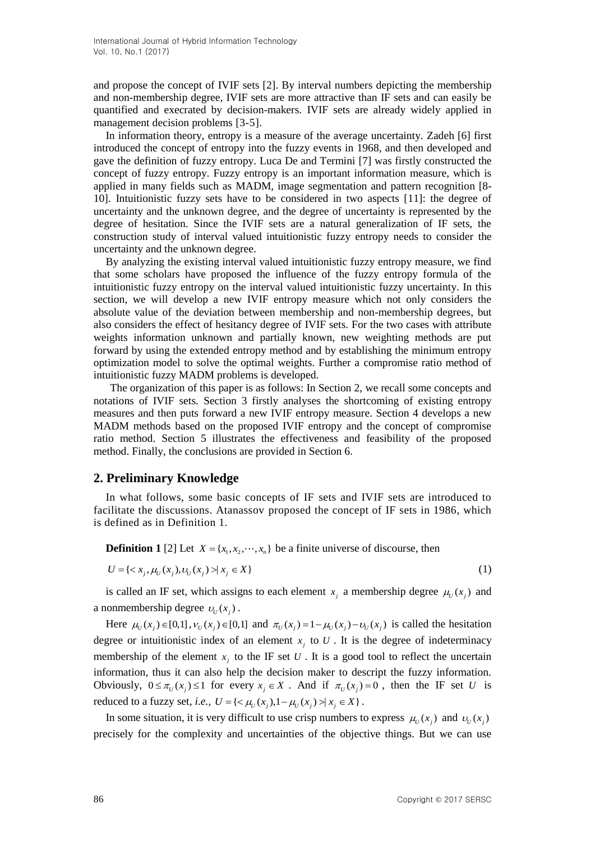and propose the concept of IVIF sets [2]. By interval numbers depicting the membership and non-membership degree, IVIF sets are more attractive than IF sets and can easily be quantified and execrated by decision-makers. IVIF sets are already widely applied in management decision problems [3-5].

In information theory, entropy is a measure of the average uncertainty. Zadeh [6] first introduced the concept of entropy into the fuzzy events in 1968, and then developed and gave the definition of fuzzy entropy. Luca De and Termini [7] was firstly constructed the concept of fuzzy entropy. Fuzzy entropy is an important information measure, which is applied in many fields such as MADM, image segmentation and pattern recognition [8- 10]. Intuitionistic fuzzy sets have to be considered in two aspects [11]: the degree of uncertainty and the unknown degree, and the degree of uncertainty is represented by the degree of hesitation. Since the IVIF sets are a natural generalization of IF sets, the construction study of interval valued intuitionistic fuzzy entropy needs to consider the uncertainty and the unknown degree.

By analyzing the existing interval valued intuitionistic fuzzy entropy measure, we find that some scholars have proposed the influence of the fuzzy entropy formula of the intuitionistic fuzzy entropy on the interval valued intuitionistic fuzzy uncertainty. In this section, we will develop a new IVIF entropy measure which not only considers the absolute value of the deviation between membership and non-membership degrees, but also considers the effect of hesitancy degree of IVIF sets. For the two cases with attribute weights information unknown and partially known, new weighting methods are put forward by using the extended entropy method and by establishing the minimum entropy optimization model to solve the optimal weights. Further a compromise ratio method of intuitionistic fuzzy MADM problems is developed.

The organization of this paper is as follows: In Section 2, we recall some concepts and notations of IVIF sets. Section 3 firstly analyses the shortcoming of existing entropy measures and then puts forward a new IVIF entropy measure. Section 4 develops a new MADM methods based on the proposed IVIF entropy and the concept of compromise ratio method. Section 5 illustrates the effectiveness and feasibility of the proposed method. Finally, the conclusions are provided in Section 6.

## **2. Preliminary Knowledge**

In what follows, some basic concepts of IF sets and IVIF sets are introduced to facilitate the discussions. Atanassov proposed the concept of IF sets in 1986, which is defined as in Definition 1.

**Definition 1** [2] Let  $X = \{x_1, x_2, \dots, x_n\}$  be a finite universe of discourse, then

$$
U = \{ \langle x_j, \mu_U(x_j), \nu_U(x_j) \rangle \mid x_j \in X \}
$$
\n(1)

is called an IF set, which assigns to each element  $x_j$  a membership degree  $\mu$ <sub>*U*</sub>( $x_j$ ) and a nonmembership degree  $v_y(x_j)$ .

Here  $\mu_U(x_j) \in [0,1]$ ,  $v_U(x_j) \in [0,1]$  and  $\pi_U(x_j) = 1 - \mu_U(x_j) - v_U(x_j)$  is called the hesitation degree or intuitionistic index of an element  $x_j$  to U. It is the degree of indeterminacy membership of the element  $x_i$  to the IF set U. It is a good tool to reflect the uncertain information, thus it can also help the decision maker to descript the fuzzy information. Obviously,  $0 \le \pi_U(x_j) \le 1$  for every  $x_j \in X$ . And if  $\pi_U(x_j) = 0$ , then the IF set U is reduced to a fuzzy set, *i.e.*,  $U = \{ \langle \mu_U(x_j), 1 - \mu_U(x_j) \rangle | x_j \in X \}$ .

In some situation, it is very difficult to use crisp numbers to express  $\mu_U(x_j)$  and  $\nu_U(x_j)$ precisely for the complexity and uncertainties of the objective things. But we can use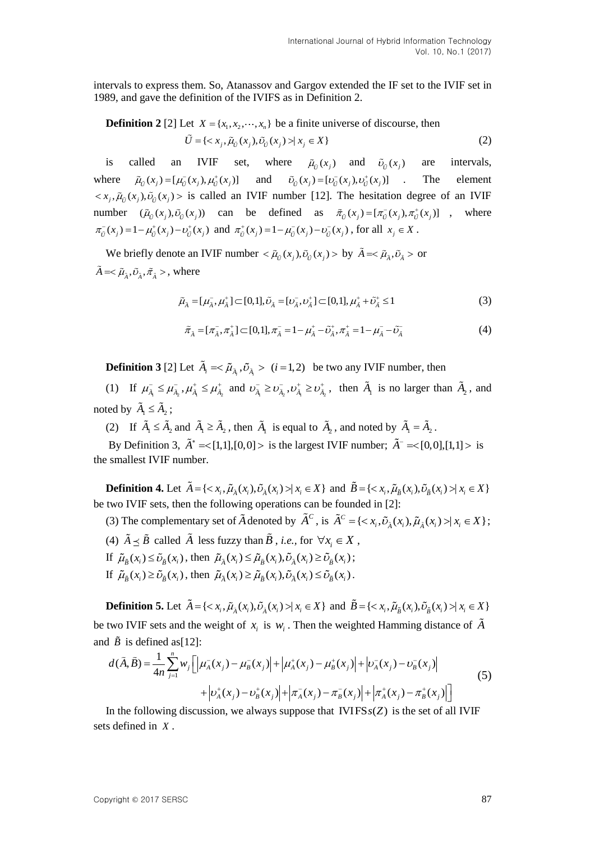intervals to express them. So, Atanassov and Gargov extended the IF set to the IVIF set in 1989, and gave the definition of the IVIFS as in Definition 2.

**Definition 2** [2] Let 
$$
X = \{x_1, x_2, \dots, x_n\}
$$
 be a finite universe of discourse, then  
\n
$$
\tilde{U} = \{ \langle x_j, \tilde{\mu}_{\tilde{U}}(x_j), \tilde{\nu}_{\tilde{U}}(x_j) \rangle | x_j \in X \}
$$
\n(2)

is called an IVIF set, where  $\tilde{\mu}_{\tilde{U}}(x_j)$  and  $\tilde{\nu}_{\tilde{U}}(x_j)$ are intervals, where  $\tilde{\mu}_{\tilde{U}}(x_j) = [\mu_{\tilde{U}}^-(x_j), \mu_{\tilde{U}}^+(x_j)]$  and  $\tilde{\nu}_{\tilde{U}}(x_j) = [\nu_{\tilde{U}}^-(x_j), \nu_{\tilde{U}}^+(x_j)]$ . The element  $\langle x_j, \tilde{\mu}_{\tilde{U}}(x_j), \tilde{\nu}_{\tilde{U}}(x_j) \rangle$  is called an IVIF number [12]. The hesitation degree of an IVIF number  $(\tilde{\mu}_{\tilde{U}}(x_j), \tilde{\nu}_{\tilde{U}}(x_j))$  can be defined as  $\tilde{\pi}_{\tilde{U}}(x_j) = [\pi_{\tilde{U}}(x_j), \pi_{\tilde{U}}^+(x_j)]$ , where  $\pi_{\bar{U}}^-(x_j) = 1 - \mu_{\bar{U}}^+(x_j) - \nu_{\bar{U}}^+(x_j)$  and  $\pi_{\bar{U}}^+(x_j) = 1 - \mu_{\bar{U}}^-(x_j) - \nu_{\bar{U}}^-(x_j)$ , for all  $x_j \in X$ .

We briefly denote an IVIF number  $\langle \tilde{\mu}_{\tilde{U}}(x_j), \tilde{\nu}_{\tilde{U}}(x_j) \rangle$  by  $\tilde{A} = \langle \tilde{\mu}_{\tilde{A}}, \tilde{\nu}_{\tilde{A}} \rangle$  or  $\tilde{A} = <\tilde{\mu}_{\tilde{A}}, \tilde{\nu}_{\tilde{A}}, \tilde{\pi}_{\tilde{A}}>, \text{where}$ 

$$
\tilde{\mu}_{\tilde{A}} = [\mu_{\tilde{A}}^-, \mu_{\tilde{A}}^+] \subset [0,1], \tilde{\nu}_{\tilde{A}} = [\nu_{\tilde{A}}^-, \nu_{\tilde{A}}^+] \subset [0,1], \mu_{\tilde{A}}^+ + \tilde{\nu}_{\tilde{A}}^+ \le 1
$$
\n(3)

$$
\tilde{\pi}_{\tilde{A}} = [\pi_{\tilde{A}}^-, \pi_{\tilde{A}}^+] \subset [0, 1], \pi_{\tilde{A}}^- = 1 - \mu_{\tilde{A}}^+ - \tilde{\nu}_{\tilde{A}}^+, \pi_{\tilde{A}}^+ = 1 - \mu_{\tilde{A}}^- - \tilde{\nu}_{\tilde{A}}^- \tag{4}
$$

**Definition 3** [2] Let  $\tilde{A}_i = \langle \tilde{\mu}_{\tilde{A}_i}, \tilde{\nu}_{\tilde{A}_i} \rangle$  (*i* = 1, 2) be two any IVIF number, then

(1) If  $\mu_{\tilde{A}_1}^-\leq \mu_{\tilde{A}_2}^-, \mu_{\tilde{A}_1}^+\leq \mu_{\tilde{A}_2}^+$  and  $\mu_{\tilde{A}_1}^-\geq \nu_{\tilde{A}_2}^-, \nu_{\tilde{A}_1}^+\geq \nu_{\tilde{A}_2}^+$ , then  $\tilde{A}_1$  is no larger than  $\tilde{A}_2$ , and noted by  $\tilde{A}_1 \leq \tilde{A}_2$ ;

(2) If  $\tilde{A}_1 \leq \tilde{A}_2$  and  $\tilde{A}_1 \geq \tilde{A}_2$ , then  $\tilde{A}_1$  is equal to  $\tilde{A}_2$ , and noted by  $\tilde{A}_1 = \tilde{A}_2$ .

By Definition 3,  $\tilde{A}^* = \{1,1\}$ ,  $[0,0] >$  is the largest IVIF number;  $\tilde{A}^- = \{0,0\}$ ,  $[1,1] >$  is the smallest IVIF number.

**Definition 4.** Let  $\tilde{A} = \{ \langle x_i, \tilde{\mu}_{\tilde{A}}(x_i), \tilde{\nu}_{\tilde{A}}(x_i) \rangle | x_i \in X \}$  and  $\tilde{B} = \{ \langle x_i, \tilde{\mu}_{\tilde{B}}(x_i), \tilde{\nu}_{\tilde{B}}(x_i) \rangle | x_i \in X \}$ be two IVIF sets, then the following operations can be founded in [2]:

(3) The complementary set of  $\tilde{A}$  denoted by  $\tilde{A}^C$ , is  $\tilde{A}^C = \{ \langle x_i, \tilde{v}_{\lambda}(x_i), \tilde{\mu}_{\lambda}(x_i) \rangle | x_i \in X \}$ ; (4)  $\tilde{A} \leq \tilde{B}$  called  $\tilde{A}$  less fuzzy than  $\tilde{B}$ , *i.e.*, for  $\forall x_i \in X$ , If  $\tilde{\mu}_{\tilde{B}}(x_i) \leq \tilde{\nu}_{\tilde{B}}(x_i)$ , then  $\tilde{\mu}_{\tilde{A}}(x_i) \leq \tilde{\mu}_{\tilde{B}}(x_i), \tilde{\nu}_{\tilde{A}}(x_i) \geq \tilde{\nu}_{\tilde{B}}(x_i)$ ; If  $\tilde{\mu}_{\tilde{B}}(x_i) \ge \tilde{\upsilon}_{\tilde{B}}(x_i)$ , then  $\tilde{\mu}_{\tilde{A}}(x_i) \ge \tilde{\mu}_{\tilde{B}}(x_i)$ ,  $\tilde{\upsilon}_{\tilde{A}}(x_i) \le \tilde{\upsilon}_{\tilde{B}}(x_i)$ ,  $\tilde{\upsilon}_{\tilde{B}}(x_i) \ge \tilde{\upsilon}_{\tilde{B}}(x_i)$ .

**Definition 5.** Let  $\tilde{A} = \{ \langle x_i, \tilde{\mu}_{\tilde{A}}(x_i), \tilde{\nu}_{\tilde{A}}(x_i) \rangle | x_i \in X \}$  and  $\tilde{B} = \{ \langle x_i, \tilde{\mu}_{\tilde{B}}(x_i), \tilde{\nu}_{\tilde{B}}(x_i) \rangle | x_i \in X \}$ be two IVIF sets and the weight of  $x_i$  is  $w_i$ . Then the weighted Hamming distance of  $\tilde{A}$ <br>and  $\tilde{B}$  is defined as[12]:<br> $d(\tilde{A}, \tilde{B}) = \frac{1}{4n} \sum_{i=1}^{n} w_i \left[ \left| \mu_A^-(x_j) - \mu_B^-(x_j) \right| + \left| \mu_A^+(x_j) - \mu_B^+(x_j) \right| + \left| \nu_A^$ and  $\tilde{B}$  is defined as[12]:

$$
d(\tilde{A}, \tilde{B}) = \frac{1}{4n} \sum_{j=1}^{n} w_j \Big[ \Big| \mu_A^-(x_j) - \mu_B^-(x_j) \Big| + \Big| \mu_A^+(x_j) - \mu_B^+(x_j) \Big| + \Big| \nu_A^-(x_j) - \nu_B^-(x_j) \Big| + \Big| \nu_A^+(x_j) - \nu_B^+(x_j) \Big| + \Big| \pi_A^+(x_j) - \pi_B^-(x_j) \Big| + \Big| \pi_A^+(x_j) - \pi_B^+(x_j) \Big| \Big]
$$
(5)

In the following discussion, we always suppose that  $IVIFS(SZ)$  is the set of all IVIF sets defined in *X* .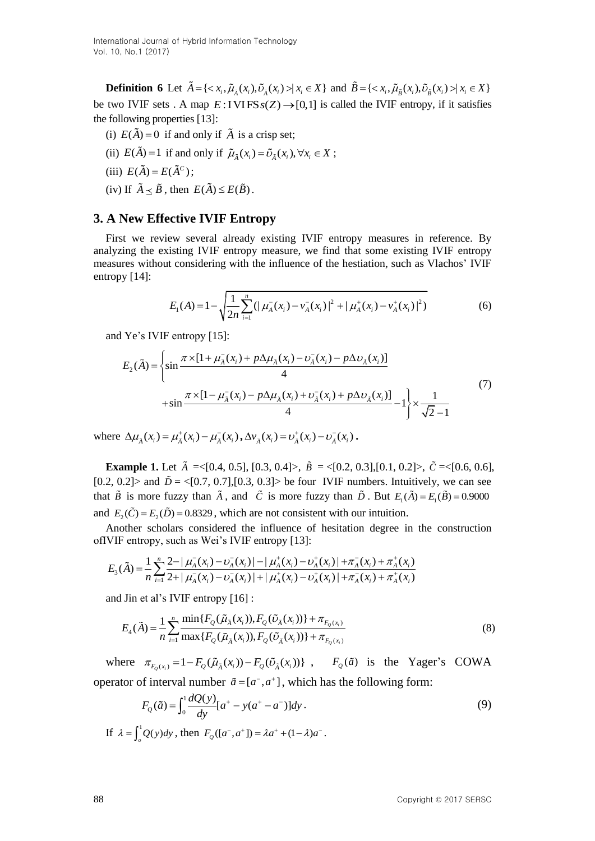**Definition 6** Let  $\tilde{A} = \{ \langle x_i, \tilde{\mu}_{\tilde{A}}(x_i), \tilde{\nu}_{\tilde{A}}(x_i) \rangle | x_i \in X \}$  and  $\tilde{B} = \{ \langle x_i, \tilde{\mu}_{\tilde{B}}(x_i), \tilde{\nu}_{\tilde{B}}(x_i) \rangle | x_i \in X \}$ be two IVIF sets . A map  $E: IVIFSs(Z) \rightarrow [0,1]$  is called the IVIF entropy, if it satisfies the following properties [13]:

- (i)  $E(A) = 0$  if and only if A is a crisp set;
- (ii)  $E(\tilde{A}) = 1$  if and only if  $\tilde{\mu}_{\tilde{A}}(x_i) = \tilde{\nu}_{\tilde{A}}(x_i), \forall x_i \in X$ ;
- (iii)  $E(\tilde{A}) = E(\tilde{A}^c);$
- (iv) If  $\tilde{A} \leq \tilde{B}$ , then  $E(\tilde{A}) \leq E(\tilde{B})$ .

## **3. A New Effective IVIF Entropy**

First we review several already existing IVIF entropy measures in reference. By analyzing the existing IVIF entropy measure, we find that some existing IVIF entropy measures without considering with the influence of the hestiation, such as Vlachos' IVIF entropy [14]:

$$
E_1(A) = 1 - \sqrt{\frac{1}{2n} \sum_{i=1}^n (|\mu_A^-(x_i) - \nu_A^-(x_i)|^2 + |\mu_A^+(x_i) - \nu_A^+(x_i)|^2)}
$$
(6)

and Ye's IVIF entropy [15]:  
\n
$$
E_2(\tilde{A}) = \left\{ \sin \frac{\pi \times [1 + \mu_{\tilde{A}}(x_i) + p \Delta \mu_{\tilde{A}}(x_i) - \nu_{\tilde{A}}(x_i) - p \Delta \nu_{\tilde{A}}(x_i)]}{4} + \sin \frac{\pi \times [1 - \mu_{\tilde{A}}(x_i) - p \Delta \mu_{\tilde{A}}(x_i) + \nu_{\tilde{A}}(x_i) + p \Delta \nu_{\tilde{A}}(x_i)]}{4} - 1 \right\} \times \frac{1}{\sqrt{2} - 1}
$$
\n(7)

where  $\Delta \mu_{\tilde{A}}(x_i) = \mu_{\tilde{A}}^+(x_i) - \mu_{\tilde{A}}^-(x_i)$ ,  $\Delta v_{\tilde{A}}(x_i) = v_{\tilde{A}}^+(x_i) - v_{\tilde{A}}^-(x_i)$ .

**Example 1.** Let  $\tilde{A} = \{0.4, 0.5\}, [0.3, 0.4] >$ ,  $\tilde{B} = \{0.2, 0.3\}, [0.1, 0.2] >$ ,  $\tilde{C} = \{0.6, 0.6\},$ [0.2, 0.2] and  $\tilde{D} = \langle [0.7, 0.7], [0.3, 0.3] \rangle$  be four IVIF numbers. Intuitively, we can see that  $\tilde{B}$  is more fuzzy than  $\tilde{A}$ , and  $\tilde{C}$  is more fuzzy than  $\tilde{D}$ . But  $E_1(\tilde{A}) = E_1(\tilde{B}) = 0.9000$ and  $E_2(\tilde{C}) = E_2(\tilde{D}) = 0.8329$ , which are not consistent with our intuition.

Another scholars considered the influence of hesitation degree in the construction<br>VIF entropy, such as Wei's IVIF entropy [13]:<br> $E_3(\tilde{A}) = \frac{1}{n} \sum_{i=1}^n \frac{2 - |\mu_A(x_i) - \nu_A(x_i)| - |\mu_A(x_i) - \nu_A^+(x_i)| + \pi_A^-(x_i) + \pi_A^+(x_i)}{2 + |\mu_A^-(x_i) - \$ ofIVIF entropy, such as Wei's IVIF entropy [13]:<br> $\approx 1 + \frac{\pi}{2} - |\mu(x) - \mu(x)| - |\mu(x) - \mu(x)| + \pi(x) + \pi(x) + \pi(x)$ 

$$
E_3(\tilde{A}) = \frac{1}{n} \sum_{i=1}^n \frac{2 - |\mu_A(x_i) - \nu_A(x_i)| - |\mu_A^+(x_i) - \nu_A^+(x_i)| + \pi_A^-(x_i) + \pi_A^+(x_i)}{2 + |\mu_A^-(x_i) - \nu_A^-(x_i)| + |\mu_A^+(x_i) - \nu_A^+(x_i)| + \pi_A^-(x_i) + \pi_A^+(x_i)}
$$

and Jin et al's IVIF entropy [16]:  
\n
$$
E_4(\tilde{A}) = \frac{1}{n} \sum_{i=1}^n \frac{\min\{F_Q(\tilde{\mu}_{\tilde{A}}(x_i)), F_Q(\tilde{\nu}_{\tilde{A}}(x_i))\} + \pi_{F_Q(x_i)}}{\max\{F_Q(\tilde{\mu}_{\tilde{A}}(x_i)), F_Q(\tilde{\nu}_{\tilde{A}}(x_i))\} + \pi_{F_Q(x_i)}}
$$
\n(8)

where  $\pi_{F_Q(x_i)} = 1 - F_Q(\tilde{\mu}_\lambda(x_i)) - F_Q(\tilde{\nu}_\lambda(x_i))$ ,  $F_Q(\tilde{a})$  is the Yager's COWA

operator of interval number 
$$
\tilde{a} = [a^-, a^+]
$$
, which has the following form:  
\n
$$
F_Q(\tilde{a}) = \int_0^1 \frac{dQ(y)}{dy} [a^+ - y(a^+ - a^-)] dy.
$$
\n(9)

If  $\lambda = \int_{0}^{1} Q(y) dy$ , then  $F_Q([a^-, a^+]) = \lambda a^+ + (1 - \lambda)a^-$ .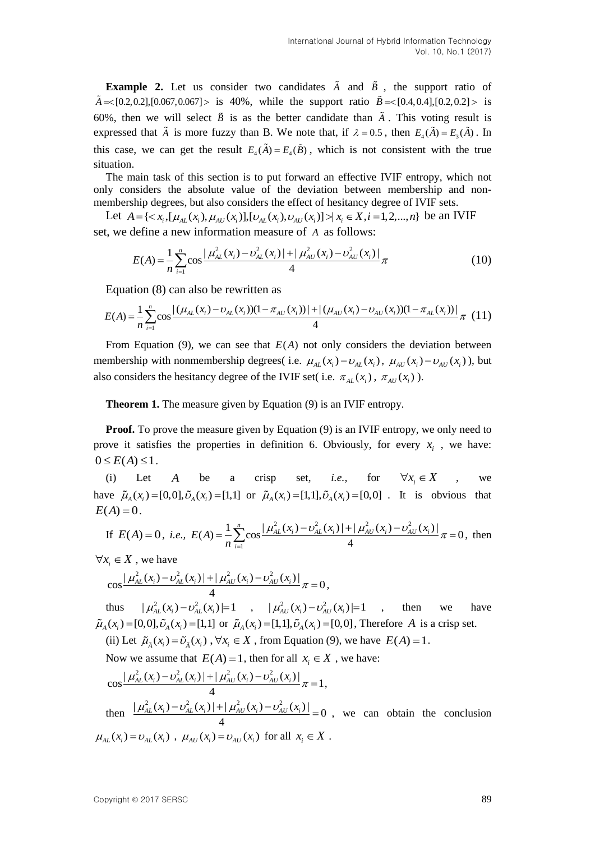**Example 2.** Let us consider two candidates  $\tilde{A}$  and  $\tilde{B}$ , the support ratio of  $\tilde{A}$  = {0.2,0.2},[0.067,0.067} > is 40%, while the support ratio  $\tilde{B}$  = {0.4,0.4},[0.2,0.2} > is 60%, then we will select  $\tilde{B}$  is as the better candidate than  $\tilde{A}$ . This voting result is expressed that  $\tilde{A}$  is more fuzzy than B. We note that, if  $\lambda = 0.5$ , then  $E_4(\tilde{A}) = E_3(\tilde{A})$ . In this case, we can get the result  $E_4(A) = E_4(B)$ , which is not consistent with the true situation.

The main task of this section is to put forward an effective IVIF entropy, which not only considers the absolute value of the deviation between membership and nonmembership degrees, but also considers the effect of hesitancy degree of IVIF sets. Let  $A = \{ \langle x_i, [\mu_{AL}(x_i), \mu_{AU}(x_i)] , [\nu_{AL}(x_i), \nu_{AU}(x_i)] \rangle \}$  and not independent to the deviation between membership and not imbership degrees, but also considers the effect of hesitancy degree of IVIF sets.

set, we define a new information measure of A as follows:<br>  $1 \frac{n}{2} = |u^2(x) - v^2(x)| + |u^2(x) - v^2(x)|$ 

define a new information measure of *A* as follows:  
\n
$$
E(A) = \frac{1}{n} \sum_{i=1}^{n} \cos \frac{|\mu_{AL}^{2}(x_i) - \nu_{AL}^{2}(x_i)| + |\mu_{AU}^{2}(x_i) - \nu_{AU}^{2}(x_i)|}{4}
$$
\n(10)

Equation (8) can also be rewritten as

$$
n_{i=1}^{n} \t 4
$$
  
Equation (8) can also be rewritten as  

$$
E(A) = \frac{1}{n} \sum_{i=1}^{n} \cos \frac{|\left(\mu_{AL}(x_i) - \nu_{AL}(x_i)\right)\left(1 - \pi_{AU}(x_i)\right)| + |\left(\mu_{AU}(x_i) - \nu_{AU}(x_i)\right)\left(1 - \pi_{AL}(x_i)\right)|}{4} \pi
$$
 (11)

From Equation  $(9)$ , we can see that  $E(A)$  not only considers the deviation between membership with nonmembership degrees( i.e.  $\mu_{AL}(x_i) - \nu_{AL}(x_i)$ ,  $\mu_{AU}(x_i) - \nu_{AU}(x_i)$ ), but also considers the hesitancy degree of the IVIF set( i.e.  $\pi_{AL}(x_i)$ ,  $\pi_{AU}(x_i)$ ).

**Theorem 1.** The measure given by Equation (9) is an IVIF entropy.

**Proof.** To prove the measure given by Equation (9) is an IVIF entropy, we only need to prove it satisfies the properties in definition 6. Obviously, for every  $x_i$ , we have:  $0 \leq E(A) \leq 1$ .

(i) Let *A* be a crisp set, *i.e.*, for  $\forall x_i \in X$ , we have  $\tilde{\mu}_A(x_i) = [0,0], \tilde{\nu}_A(x_i) = [1,1]$  or  $\tilde{\mu}_A(x_i) = [1,1], \tilde{\nu}_A(x_i) = [0,0]$ . It is obvious that<br>  $E(A) = 0$ .<br>
If  $E(A) = 0$ , *i.e.*,  $E(A) = \frac{1}{2} \sum_{i=1}^{n} \cos \left| \frac{\mu_{AL}^2(x_i) - \nu_{AL}^2(x_i) + \mu_{AU}^2(x_i) - \nu_{AU}^2(x_i) \right|}{\mu_{AL}^2(x_i) - \mu_{$  $E(A) = 0$ .  $\frac{2}{2}$ , (x, ) –  $v^2$ , (x, ) + |  $\mu^2$ , (x, ) –  $v^2$ 

If 
$$
E(A) = 0
$$
, *i.e.*,  $E(A) = \frac{1}{n} \sum_{i=1}^{n} \cos \frac{|\mu_{AL}^2(x_i) - \nu_{AL}^2(x_i)| + |\mu_{AU}^2(x_i) - \nu_{AL}^2(x_i)|}{4} \pi = 0$ , then

 $\forall x_i \in X$ , we have

 $z_i \in X$ , we have<br>  $\cos \frac{|\mu_{AL}^2(x_i) - \nu_{AL}^2(x_i)| + |\mu_{AU}^2(x_i) - \nu_{AU}^2(x_i)|}{4} \pi = 0$ *AL*  $\mu_{AL}^2(x_i) - \nu_{AL}^2(x_i) + |\mu_{AU}^2(x_i) - \nu_{AU}^2(x_i)| \frac{d\mu_{AU}}{dx} = 0$ ,

thus  $|\mu_{AL}^2(x_i) - \nu_{AL}^2(x_i)| = 1$ ,  $|\mu_{AU}^2(x_i) - \nu_{AU}^2(x_i)| = 1$ then we have  $\tilde{\mu}_A(x_i) = [0,0], \tilde{\nu}_A(x_i) = [1,1]$  or  $\tilde{\mu}_A(x_i) = [1,1], \tilde{\nu}_A(x_i) = [0,0]$ , Therefore *A* is a crisp set.

(ii) Let  $\tilde{\mu}_{\lambda}(x_i) = \tilde{\nu}_{\lambda}(x_i)$ ,  $\forall x_i \in X$ , from Equation (9), we have  $E(A) = 1$ .

Now we assume that 
$$
E(A) = 1
$$
, then for all  $x_i \in X$ , we have:  
\n
$$
\cos \frac{|\mu_{AL}^2(x_i) - \nu_{AL}^2(x_i)| + |\mu_{AU}^2(x_i) - \nu_{AU}^2(x_i)|}{4} \pi = 1,
$$

then  $\frac{|\mu_{AL}^2(x_i) - \nu_{AL}^2(x_i)| + |\mu_{AU}^2(x_i) - \nu_{AU}^2(x_i)|}{\mu} = 0$ 4  $\mu_{AL}^2(x_i) - \nu_{AL}^2(x_i) + |\mu_{AU}^2(x_i) - \nu_{AU}^2(x_i)| = 0$ , we can obtain the conclusion  $\mu_{AL}(x_i) = \nu_{AL}(x_i)$ ,  $\mu_{AU}(x_i) = \nu_{AU}(x_i)$  for all  $x_i \in X$ .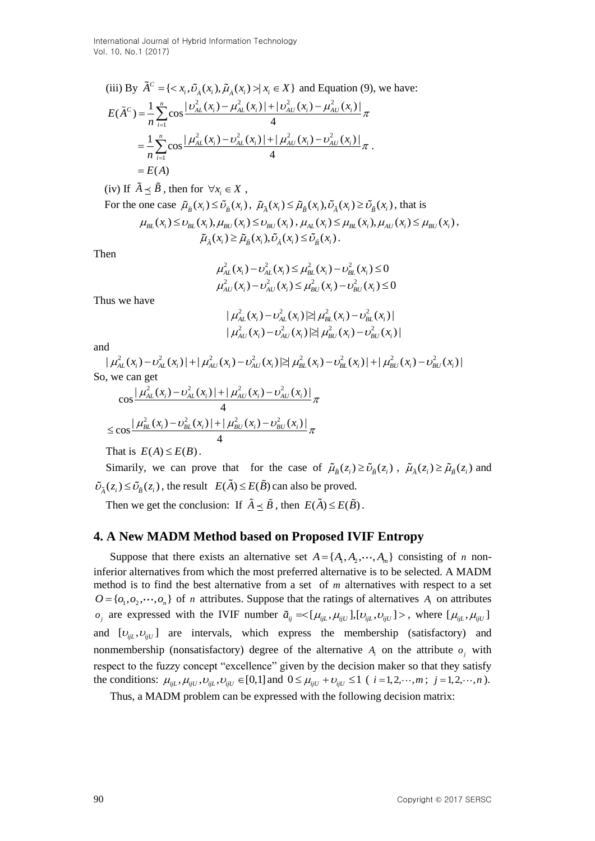International Journal of Hybrid Information Technology Vol. 10, No.1 (2017)

(iii) By 
$$
\tilde{A}^C = \{ \langle x_i, \tilde{U}_{\lambda}(x_i), \tilde{\mu}_{\lambda}(x_i) \rangle | x_i \in X \}
$$
 and Equation (9), we have:  
\n
$$
E(\tilde{A}^C) = \frac{1}{n} \sum_{i=1}^n \cos \frac{|\nu_{AL}^2(x_i) - \mu_{AL}^2(x_i)| + |\nu_{AU}^2(x_i) - \mu_{AU}^2(x_i)|}{4} \pi
$$
\n
$$
= \frac{1}{n} \sum_{i=1}^n \cos \frac{|\mu_{AL}^2(x_i) - \nu_{AL}^2(x_i)| + |\mu_{AU}^2(x_i) - \nu_{AU}^2(x_i)|}{4} \pi
$$
\n
$$
= E(A)
$$

(iv) If  $\tilde{A} \leq \tilde{B}$ , then for  $\forall x_i \in X$ , For the one case  $\tilde{\mu}_{\tilde{B}}(x_i) \leq \tilde{\nu}_{\tilde{B}}(x_i)$ ,  $\tilde{\mu}_{\tilde{A}}(x_i) \leq \tilde{\mu}_{\tilde{B}}(x_i), \tilde{\nu}_{\tilde{A}}(x_i) \geq \tilde{\nu}_{\tilde{B}}(x_i)$ , that is  $\mu_{BL}(x_i) \leq \nu_{BL}(x_i), \mu_{BU}(x_i) \leq \nu_{BU}(x_i), \mu_{AL}(x_i) \leq \mu_{BL}(x_i), \mu_{AU}(x_i) \leq \mu_{BU}(x_i),$  $\tilde{\mu}_{\tilde{\lambda}}(x_i) \geq \tilde{\mu}_{\tilde{\nu}}(x_i), \tilde{\nu}_{\tilde{\lambda}}(x_i) \leq \tilde{\nu}_{\tilde{\nu}}(x_i).$ 

Then

$$
\mu_{AL}^{2}(x_{i}) - \nu_{AL}^{2}(x_{i}) \leq \mu_{BL}^{2}(x_{i}) - \nu_{BL}^{2}(x_{i}) \leq 0
$$
  

$$
\mu_{AU}^{2}(x_{i}) - \nu_{AU}^{2}(x_{i}) \leq \mu_{BU}^{2}(x_{i}) - \nu_{BU}^{2}(x_{i}) \leq 0
$$

Thus we have

$$
|\mu_{AL}^2(x_i) - \nu_{AL}^2(x_i)| \geq |\mu_{BL}^2(x_i) - \nu_{BL}^2(x_i)|
$$
  

$$
|\mu_{AU}^2(x_i) - \nu_{AU}^2(x_i)| \geq |\mu_{BU}^2(x_i) - \nu_{BU}^2(x_i)|
$$

and

$$
|\mu_{AL}(x_i) - \nu_{AL}(x_i)| \le |\mu_{BL}(x_i) - \nu_{BL}(x_i)|
$$
  
\nand  
\n
$$
|\mu_{AU}^2(x_i) - \nu_{AU}^2(x_i)| \ge |\mu_{BU}^2(x_i) - \nu_{BU}^2(x_i)|
$$
  
\nand  
\n
$$
|\mu_{AL}^2(x_i) - \nu_{AL}^2(x_i)| + |\mu_{AU}^2(x_i) - \nu_{AU}^2(x_i)| \ge |\mu_{BL}^2(x_i) - \nu_{BL}^2(x_i)| + |\mu_{BU}^2(x_i) - \nu_{BU}^2(x_i)|
$$
  
\nSo, we can get

we can get  
\n
$$
\cos \frac{|\mu_{AL}^2(x_i) - \nu_{AL}^2(x_i)| + |\mu_{AU}^2(x_i) - \nu_{AU}^2(x_i)|}{4} \pi
$$
\n
$$
\leq \cos \frac{|\mu_{BL}^2(x_i) - \nu_{BL}^2(x_i)| + |\mu_{BU}^2(x_i) - \nu_{BU}^2(x_i)|}{4} \pi
$$

That is  $E(A) \leq E(B)$ .

Simarily, we can prove that for the case of  $\tilde{\mu}_{\tilde{B}}(z_i) \ge \tilde{\nu}_{\tilde{B}}(z_i)$ ,  $\tilde{\mu}_{\tilde{A}}(z_i) \ge \tilde{\mu}_{\tilde{B}}(z_i)$  and  $\tilde{\nu}_{\tilde{A}}(z_i) \leq \tilde{\nu}_{\tilde{B}}(z_i)$ , the result  $E(\tilde{A}) \leq E(\tilde{B})$  can also be proved.

Then we get the conclusion: If  $\overline{A} \leq \overline{B}$ , then  $E(\overline{A}) \leq E(\overline{B})$ .

## **4. A New MADM Method based on Proposed IVIF Entropy**

Suppose that there exists an alternative set  $A = \{A_1, A_2, \dots, A_m\}$  consisting of *n* noninferior alternatives from which the most preferred alternative is to be selected. A MADM method is to find the best alternative from a set of *m* alternatives with respect to a set  $O = \{o_1, o_2, \dots, o_n\}$  of *n* attributes. Suppose that the ratings of alternatives  $A_i$  on attributes  $\tilde{a}_{ij}$  are expressed with the IVIF number  $\tilde{a}_{ij} = \langle [\mu_{ijL}, \mu_{ijU}], [\nu_{ijL}, \nu_{ijU}] \rangle$ , where  $[\mu_{ijL}, \mu_{ijU}]$ and  $[U_{ijL}, U_{ijU}]$  are intervals, which express the membership (satisfactory) and nonmembership (nonsatisfactory) degree of the alternative  $A_i$  on the attribute  $o_j$  with respect to the fuzzy concept "excellence" given by the decision maker so that they satisfy the conditions:  $\mu_{ijL}, \mu_{ijU}, \nu_{ijU}, \nu_{ijU} \in [0,1]$  and  $0 \le \mu_{ijU} + \nu_{ijU} \le 1$  (*i* = 1,2, ...,*m*; *j* = 1,2, ...,*n*).

Thus, a MADM problem can be expressed with the following decision matrix: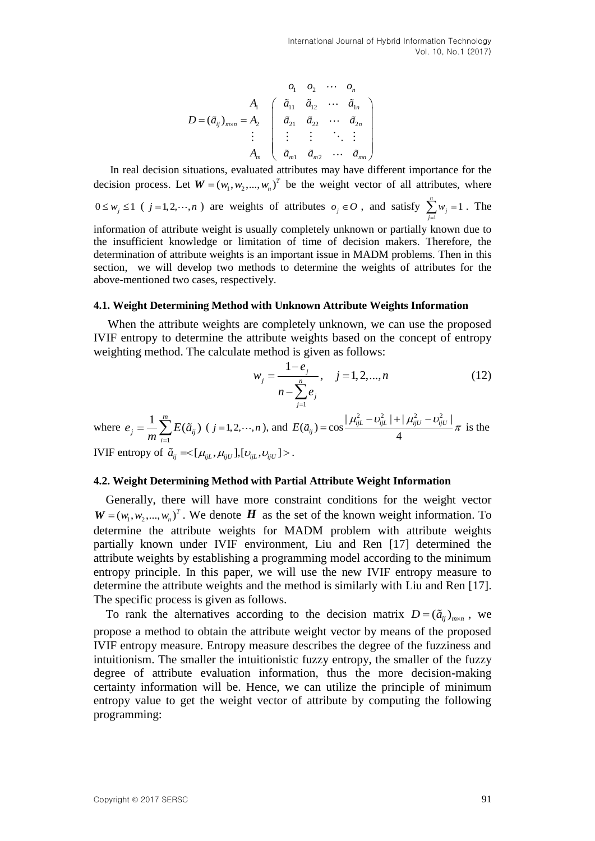$$
D = (\tilde{a}_{ij})_{m \times n} = A_2 \begin{pmatrix} \tilde{a}_{11} & \tilde{a}_{12} & \cdots & \tilde{a}_{1n} \\ \tilde{a}_{21} & \tilde{a}_{22} & \cdots & \tilde{a}_{2n} \\ \vdots & \vdots & \vdots & \ddots & \vdots \\ \tilde{a}_{m1} & \tilde{a}_{m2} & \cdots & \tilde{a}_{mn} \end{pmatrix}
$$

In real decision situations, evaluated attributes may have different importance for the decision process. Let  $W = (w_1, w_2, ..., w_n)^T$  be the weight vector of all attributes, where

 $0 \leq w_j \leq 1$  (  $j = 1, 2, \dots, n$  ) are weights of attributes  $o_j \in O$ , and satisfy 1  $\sum_{i=1}^{n} w_i = 1$ *j j w*  $\sum_{j=1}^{n} w_j = 1$ . The

information of attribute weight is usually completely unknown or partially known due to the insufficient knowledge or limitation of time of decision makers. Therefore, the determination of attribute weights is an important issue in MADM problems. Then in this section, we will develop two methods to determine the weights of attributes for the above-mentioned two cases, respectively.

#### **4.1. Weight Determining Method with Unknown Attribute Weights Information**

When the attribute weights are completely unknown, we can use the proposed IVIF entropy to determine the attribute weights based on the concept of entropy weighting method. The calculate method is given as follows:

$$
w_j = \frac{1 - e_j}{n - \sum_{j=1}^n e_j}, \quad j = 1, 2, ..., n
$$
 (12)

$$
\text{where } e_j = \frac{1}{m} \sum_{i=1}^{m} E(\tilde{a}_{ij}) \ (j = 1, 2, \cdots, n), \text{ and } E(\tilde{a}_{ij}) = \cos \frac{|\mu_{ijL}^2 - \nu_{ijL}^2| + |\mu_{ijU}^2 - \nu_{ijU}^2|}{4} \pi \text{ is the}
$$
\n
$$
\text{IVIF entropy of } \tilde{a}_{ij} = \langle [\mu_{ijL}, \mu_{ijU}], [\nu_{ijL}, \nu_{ijU}] \rangle.
$$

#### **4.2. Weight Determining Method with Partial Attribute Weight Information**

Generally, there will have more constraint conditions for the weight vector  $W = (w_1, w_2, ..., w_n)^T$ . We denote *H* as the set of the known weight information. To determine the attribute weights for MADM problem with attribute weights partially known under IVIF environment, Liu and Ren [17] determined the attribute weights by establishing a programming model according to the minimum entropy principle. In this paper, we will use the new IVIF entropy measure to determine the attribute weights and the method is similarly with Liu and Ren [17]. The specific process is given as follows.

To rank the alternatives according to the decision matrix  $D = (\tilde{a}_{ij})_{m \times n}$ , we propose a method to obtain the attribute weight vector by means of the proposed IVIF entropy measure. Entropy measure describes the degree of the fuzziness and intuitionism. The smaller the intuitionistic fuzzy entropy, the smaller of the fuzzy degree of attribute evaluation information, thus the more decision-making certainty information will be. Hence, we can utilize the principle of minimum entropy value to get the weight vector of attribute by computing the following programming: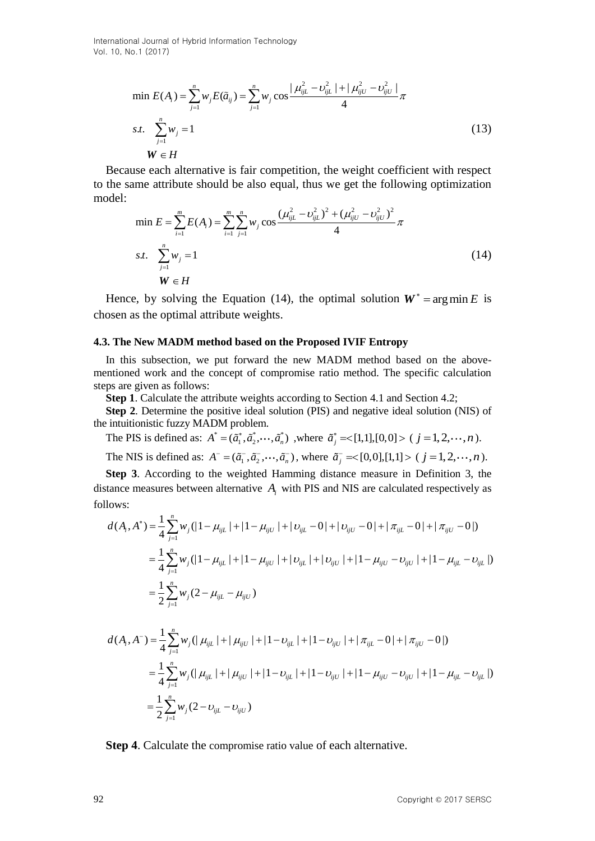International Journal of Hybrid Information Technology Vol. 10, No.1 (2017)

$$
\min E(A_i) = \sum_{j=1}^n w_j E(\tilde{a}_{ij}) = \sum_{j=1}^n w_j \cos \frac{|\mu_{ijL}^2 - \nu_{ijL}^2| + |\mu_{ijU}^2 - \nu_{ijU}^2|}{4} \pi
$$
  
s.t. 
$$
\sum_{j=1}^n w_j = 1
$$
  

$$
W \in H
$$
 (13)

Because each alternative is fair competition, the weight coefficient with respect model:  $(\frac{2}{2} - v^2)(\frac{2}{2} + (u^2)(\frac{2}{2} - v^2))$ 

to the same attribute should be also equal, thus we get the following optimization model:  
\n
$$
\text{min } E = \sum_{i=1}^{m} E(A_i) = \sum_{i=1}^{m} \sum_{j=1}^{n} w_j \cos \frac{(\mu_{ijL}^2 - \nu_{ijL}^2)^2 + (\mu_{ijU}^2 - \nu_{ijU}^2)^2}{4} \pi
$$
\n
$$
\text{s.t. } \sum_{j=1}^{n} w_j = 1 \tag{14}
$$
\n
$$
W \in H
$$

Hence, by solving the Equation (14), the optimal solution  $W^* = \arg \min E$  is chosen as the optimal attribute weights.

#### **4.3. The New MADM method based on the Proposed IVIF Entropy**

In this subsection, we put forward the new MADM method based on the abovementioned work and the concept of compromise ratio method. The specific calculation steps are given as follows:

**Step 1**. Calculate the attribute weights according to Section 4.1 and Section 4.2;

**Step 2**. Determine the positive ideal solution (PIS) and negative ideal solution (NIS) of the intuitionistic fuzzy MADM problem.

The PIS is defined as:  $A^* = (\tilde{a}_1^*, \tilde{a}_2^*, \dots, \tilde{a}_n^*)$ , where  $\tilde{a}_j^* = \langle [1,1], [0,0] \rangle \ (j = 1, 2, \dots, n)$ . The NIS is defined as:  $A^- = (\tilde{a}_1^-, \tilde{a}_2^-, \cdots, \tilde{a}_n^-)$ , where  $\tilde{a}_j^- \ll [0,0], [1,1] > (j = 1,2,\cdots,n)$ .

**Step 3**. According to the weighted Hamming distance measure in Definition 3, the distance measures between alternative  $A_i$  with PIS and NIS are calculated respectively as follows:<br>  $d(A_i, A^*) = \frac{1}{4} \sum_{j=1}^{n} w_j (|1 - \mu_{ijL}| + |1 - \mu_{ijU}| + |\nu_{ijL} - 0| + |\nu_{ijU} - 0| + |\pi_{ijL} - 0| + |\pi_{ijU} - 0|)$ follows:

d(
$$
A_i
$$
,  $A^*$ ) =  $\frac{1}{4} \sum_{j=1}^n w_j (|1 - \mu_{ijL}| + |1 - \mu_{ijU}| + |\nu_{ijL} - 0| + |\nu_{ijU} - 0| + |\pi_{ijL} - 0| + |\pi_{ijU} - 0|)$   
\n=  $\frac{1}{4} \sum_{j=1}^n w_j (|1 - \mu_{ijL}| + |1 - \mu_{ijU}| + |\nu_{ijL}| + |\nu_{ijU}| + |1 - \mu_{ijU} - \nu_{ijU}| + |1 - \mu_{ijL} - \nu_{ijL}|)$   
\n=  $\frac{1}{2} \sum_{j=1}^n w_j (2 - \mu_{ijL} - \mu_{ijU})$ 

$$
-\frac{1}{2} \sum_{j=1}^{n} w_j (2 - \mu_{ijU})
$$
  

$$
d(A_i, A^-) = \frac{1}{4} \sum_{j=1}^{n} w_j (|\mu_{ijL}| + |\mu_{ijU}| + |1 - \nu_{ijL}| + |1 - \nu_{ijU}| + |\pi_{ijL} - 0| + |\pi_{ijU} - 0|)
$$
  

$$
= \frac{1}{4} \sum_{j=1}^{n} w_j (|\mu_{ijL}| + |\mu_{ijU}| + |1 - \nu_{ijL}| + |1 - \nu_{ijU}| + |1 - \mu_{ijU} - \nu_{ijU}| + |1 - \mu_{ijL} - \nu_{ijL}|)
$$
  

$$
= \frac{1}{2} \sum_{j=1}^{n} w_j (2 - \nu_{ijL} - \nu_{ijU})
$$

**Step 4**. Calculate the compromise ratio value of each alternative.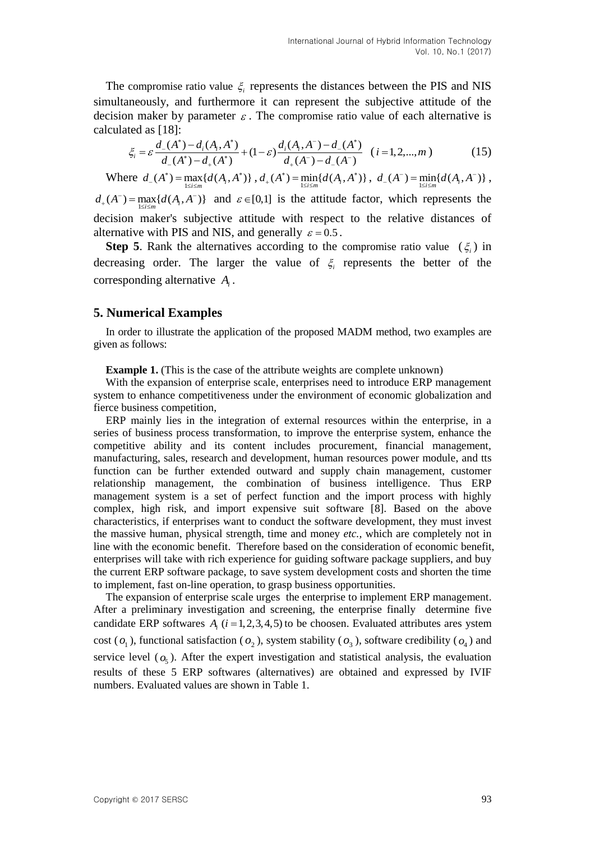The compromise ratio value  $\xi$  represents the distances between the PIS and NIS simultaneously, and furthermore it can represent the subjective attitude of the decision maker by parameter  $\varepsilon$ . The compromise ratio value of each alternative is calculated as [18]: :<br>\*)-d(A A\*) d(A A<sup>-</sup>)-d(A\*) parameter  $\varepsilon$ . The compromise ratio<br> $-\frac{d_i(A_i, A^*)}{d_i(A_i, A^-) - d_{-}(A^*)}$ 

$$
\xi_i = \varepsilon \frac{d_-(A^*) - d_i(A_i, A^*)}{d_-(A^*) - d_+(A^*)} + (1 - \varepsilon) \frac{d_i(A_i, A^-) - d_-(A^*)}{d_+(A^-) - d_-(A^-)} \quad (i = 1, 2, ..., m)
$$
(15)

Where  $d_{-}(A^*) = \max_{1 \le i \le m} \{ d(A_i, A^*) \}, d_{+}(A^*) = \min_{1 \le i \le m} \{ d(A_i, A^*) \}, d_{-}(A^-) = \min_{1 \le i \le m} \{ d(A_i, A^-) \},$  $d_+(A^-) = \max_{1 \le i \le m} \{ d(A_i, A^-) \}$  and  $\varepsilon \in [0,1]$  is the attitude factor, which represents the decision maker's subjective attitude with respect to the relative distances of alternative with PIS and NIS, and generally  $\varepsilon = 0.5$ .

**Step 5**. Rank the alternatives according to the compromise ratio value  $(\xi_i)$  in decreasing order. The larger the value of  $\xi$  represents the better of the corresponding alternative *Ai* .

### **5. Numerical Examples**

In order to illustrate the application of the proposed MADM method, two examples are given as follows:

**Example 1.** (This is the case of the attribute weights are complete unknown)

With the expansion of enterprise scale, enterprises need to introduce ERP management system to enhance competitiveness under the environment of economic globalization and fierce business competition,

ERP mainly lies in the integration of external resources within the enterprise, in a series of business process transformation, to improve the enterprise system, enhance the competitive ability and its content includes procurement, financial management, manufacturing, sales, research and development, human resources power module, and tts function can be further extended outward and supply chain management, customer relationship management, the combination of business intelligence. Thus ERP management system is a set of perfect function and the import process with highly complex, high risk, and import expensive suit software [8]. Based on the above characteristics, if enterprises want to conduct the software development, they must invest the massive human, physical strength, time and money *etc.,* which are completely not in line with the economic benefit. Therefore based on the consideration of economic benefit, enterprises will take with rich experience for guiding software package suppliers, and buy the current ERP software package, to save system development costs and shorten the time to implement, fast on-line operation, to grasp business opportunities.

The expansion of enterprise scale urges the enterprise to implement ERP management. After a preliminary investigation and screening, the enterprise finally determine five candidate ERP softwares  $A_i$  ( $i = 1, 2, 3, 4, 5$ ) to be choosen. Evaluated attributes ares ystem cost  $(o_1)$ , functional satisfaction  $(o_2)$ , system stability  $(o_3)$ , software credibility  $(o_4)$  and service level  $(o_5)$ . After the expert investigation and statistical analysis, the evaluation results of these 5 ERP softwares (alternatives) are obtained and expressed by IVIF numbers. Evaluated values are shown in Table 1.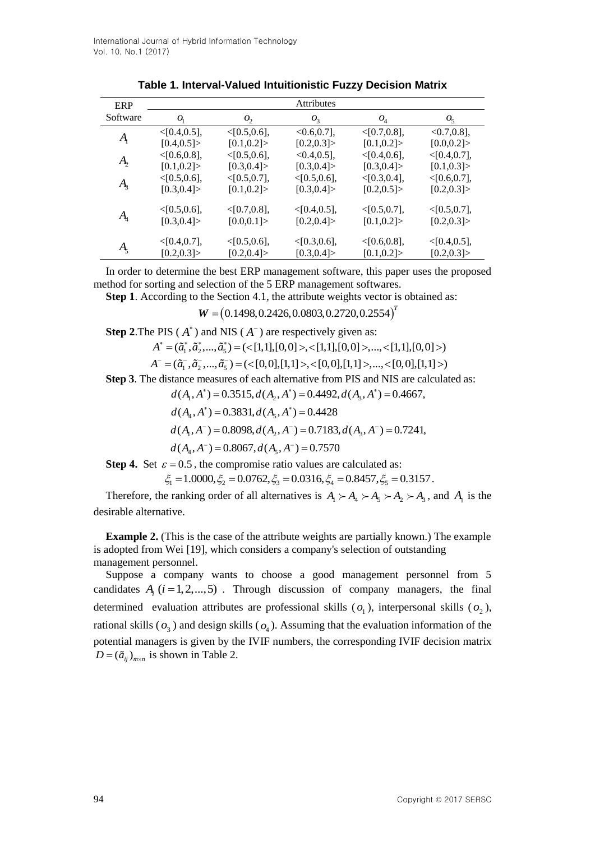| ERP                          | <b>Attributes</b> |                   |                   |                   |                   |  |
|------------------------------|-------------------|-------------------|-------------------|-------------------|-------------------|--|
| Software                     | O <sub>1</sub>    | O <sub>2</sub>    | $O_3$             | $O_4$             | $O_{5}$           |  |
| $A_{\rm i}$                  | $<$ [0.4,0.5],    | $\leq$ [0.5,0.6], | $<0.6, 0.7$ ,     | < [0.7, 0.8],     | $< 0.7, 0.8$ ,    |  |
|                              | [0.4, 0.5]        | [0.1, 0.2]        | [0.2, 0.3]        | [0.1, 0.2]        | [0.0, 0.2]        |  |
| $A_{\!\scriptscriptstyle 2}$ | < [0.6, 0.8],     | $\leq$ [0.5,0.6], | $< 0.4, 0.5$ ,    | $<$ [0.4,0.6],    | $<$ [0.4,0.7],    |  |
|                              | [0.1, 0.2]        | [0.3, 0.4]        | [0.3, 0.4]        | [0.3, 0.4]        | [0.1, 0.3]        |  |
| $A_{3}$                      | $<$ [0.5,0.6],    | $<$ [0.5,0.7],    | $<$ [0.5,0.6],    | < [0.3, 0.4],     | < [0.6, 0.7],     |  |
|                              | [0.3, 0.4]        | [0.1, 0.2]        | [0.3, 0.4]        | [0.2, 0.5]        | [0.2, 0.3]        |  |
| $A_{\!\scriptscriptstyle 4}$ | $<$ [0.5,0.6],    | $< [0.7, 0.8]$ ,  | $<$ [0.4,0.5],    | $<$ [0.5,0.7],    | $<$ [0.5,0.7],    |  |
|                              | [0.3, 0.4]        | [0.0, 0.1]        | [0.2, 0.4]        | [0.1, 0.2]        | [0.2, 0.3]        |  |
|                              |                   |                   |                   |                   |                   |  |
| $A_{\varsigma}$              | $<$ [0.4,0.7],    | $<$ [0.5,0.6],    | $\leq$ [0.3,0.6], | $\leq$ [0.6,0.8], | $\leq$ [0.4,0.5], |  |
|                              | [0.2, 0.3]        | [0.2, 0.4]        | [0.3, 0.4]        | [0.1, 0.2]        | [0.2, 0.3]        |  |

In order to determine the best ERP management software, this paper uses the proposed method for sorting and selection of the 5 ERP management softwares.

**Step 1**. According to the Section 4.1, the attribute weights vector is obtained as:

 $W = (0.1498, 0.2426, 0.0803, 0.2720, 0.2554)^T$ 

**Step 2.** The PIS (
$$
A^*
$$
) and NIS ( $A^-$ ) are respectively given as:

$$
W = (0.1498, 0.2426, 0.0803, 0.2720, 0.2554)
$$
  
the PIS (*A*<sup>\*</sup>) and NIS (*A*<sup>-</sup>) are respectively given as:  

$$
A^* = (\tilde{a}_1^*, \tilde{a}_2^*, ..., \tilde{a}_5^*) = (\langle [1,1], [0,0] \rangle, \langle [1,1], [0,0] \rangle, ..., \langle [1,1], [0,0] \rangle)
$$

 $A^- = (\tilde{a}_1^-, \tilde{a}_2^-, ..., \tilde{a}_5^-) = (\langle [0,0], [1,1] \rangle, \langle [0,0], [1,1] \rangle, ..., \langle [0,0], [1,1] \rangle)$ 

**Step 3**. The distance measures of each alternative from PIS and NIS are calculated as:<br> $d(A, A^*) = 0.3515, d(A, A^*) = 0.4492, d(A, A^*) = 0.4667.$ 

 $a_1, a_2, ..., a_5$   $\langle \langle 0, 0 \rangle, [1, 1]$ ,  $\langle \langle 0, 0 \rangle, [1, 1]$ ,  $\langle ... \rangle, \langle 0, 0 \rangle, [1, 1]$ <br>ince measures of each alternative from PIS and NIS are cannot  $(A_1, A^*) = 0.3515, d(A_2, A^*) = 0.4492, d(A_3, A^*) = 0.4667$ ,  $(A_1, A^*) = 0.3515, d(A_2, A^*) = 0.4492$ <br> $(A_4, A^*) = 0.3831, d(A_5, A^*) = 0.4428$  $d(A_1, A_2, ..., A_5) = (\text{C}_1 0, 0), [1, 1] \times, [\text{C}_2 0], [1, 1] \times,$ <br>tance measures of each alternative from PIS and  $d(A_1, A^*) = 0.3515, d(A_2, A^*) = 0.4492, d(A_3, A)$  $d(A_1, A^*) = 0.3515, d(A_2, A)$ <br> $d(A_4, A^*) = 0.3831, d(A_5, A)$ sures of each alternative from PIS and NIS are called  $(0, 0, 1, 1, 1)$ ,  $\lambda$ ,  $(0, 0, 1, 1)$ ,  $\lambda$ ,  $(0, 0, 1, 1)$ ,  $\lambda$ ,  $(0, 0, 1, 1)$ ,  $\lambda$ ,  $(0, 0, 1, 1)$ ,  $\lambda$ ,  $(0, 0, 1, 1)$ ,  $\lambda$ ,  $(0, 0, 1, 1)$ ,  $\lambda$ ,  $(0, 0, 1,$ = 0.3515,  $d(A_2, A^*)$  = 0.4492,<br>= 0.3831,  $d(A_5, A^*)$  = 0.4428

- $A^*$ ) = 0.3831,  $d(A_5)$  $( ) = 0.3515, d(A_2, A^{\dagger}) = 0$ <br>\*) = 0.3831 d(A, A\*) = 0.
- $(A_4, A^*) = 0.3831, d(A_5, A^*) = 0.4428$ <br>  $(A_1, A^-) = 0.8098, d(A_2, A^-) = 0.7183, d(A_3, A^-) = 0.7241,$  $(A_1, A^-) = 0.8098, d(A_2, A^-) = 0.7183,$ <br> $(A_4, A^-) = 0.8067, d(A_5, A^-) = 0.7570$  $d(A_4, A^*) = 0.3831, d(A_5, A^*) = 0.4428$ <br> $d(A_1, A^-) = 0.8098, d(A_2, A^-) = 0.7183, d(A_3, A)$  $d(A_1, A^-) = 0.8098, d(A_2, A$ <br>  $d(A_4, A^-) = 0.8067, d(A_5, A)$  $(3^{*})$  = 0.3831,  $d(A_5, A^*)$  = 0.4428<br>  $(a^{-})$  = 0.8098,  $d(A_2, A^-)$  = 0.7183,  $d(A_3, A^-)$  = 0.7241,  $(1) = 0.8098, d(A_2, A_-) = 0$ <br>  $(5) = 0.8067, d(A_2, A_-) = 0.8067$ = 0.8098,  $d(A_2, A^-)$  = 0.7183,<br>= 0.8067,  $d(A_5, A^-)$  = 0.7570
- $A_{4}$ ,  $A^{-}$ ) = 0.8067,  $d(A_{5})$

**Step 4.** Set  $\varepsilon = 0.5$ , the compromise ratio values are calculated as:

$$
d(A_4, A_-) = 0.8067, d(A_5, A_-) = 0.7570
$$
  
\n $\varepsilon = 0.5$ , the compromise ratio values are calculated as:  
\n $\xi_1 = 1.0000, \xi_2 = 0.0762, \xi_3 = 0.0316, \xi_4 = 0.8457, \xi_5 = 0.3157$ .

Therefore, the ranking order of all alternatives is  $A_1 \succ A_4 \succ A_5 \succ A_2 \succ A_3$ , and  $A_1$  is the desirable alternative.

**Example 2.** (This is the case of the attribute weights are partially known.) The example is adopted from Wei [19], which considers a company's selection of outstanding management personnel.

Suppose a company wants to choose a good management personnel from 5 candidates  $A_i$   $(i = 1, 2, ..., 5)$ . Through discussion of company managers, the final determined evaluation attributes are professional skills  $(o_1)$ , interpersonal skills  $(o_2)$ , rational skills  $(o_3)$  and design skills  $(o_4)$ . Assuming that the evaluation information of the potential managers is given by the IVIF numbers, the corresponding IVIF decision matrix  $D = (\tilde{a}_{ij})_{m \times n}$  is shown in Table 2.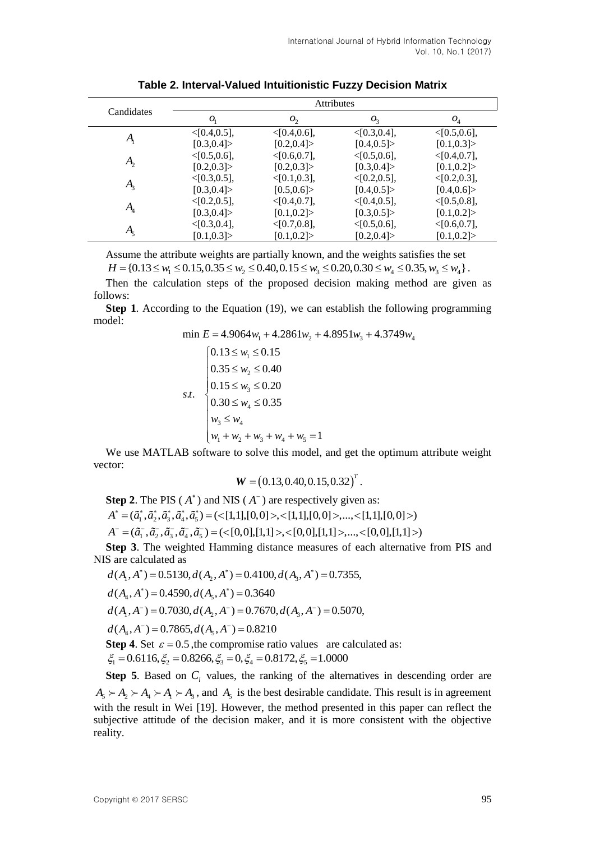|                              | <b>Attributes</b> |                   |                   |                |  |
|------------------------------|-------------------|-------------------|-------------------|----------------|--|
| Candidates                   | O <sub>1</sub>    | O <sub>2</sub>    | $O_3$             | $O_4$          |  |
|                              | $<$ [0.4,0.5],    | < [0.4, 0.6],     | $<$ [0.3,0.4],    | < [0.5, 0.6],  |  |
| $A_{\!\scriptscriptstyle 1}$ | [0.3, 0.4]        | [0.2, 0.4]        | [0.4, 0.5]        | [0.1, 0.3]     |  |
|                              | $<$ [0.5,0.6],    | < [0.6, 0.7],     | < [0.5, 0.6],     | < [0.4, 0.7],  |  |
| $A_{\!\scriptscriptstyle 2}$ | [0.2, 0.3]        | [0.2, 0.3]        | [0.3, 0.4]        | [0.1, 0.2]     |  |
|                              | $<$ [0.3,0.5],    | $\leq$ [0.1,0.3], | $\leq$ [0.2,0.5], | $<$ [0.2,0.3], |  |
| $A_{3}$                      | [0.3, 0.4]        | [0.5, 0.6]        | [0.4, 0.5]        | [0.4, 0.6]     |  |
|                              | $<$ [0.2,0.5],    | $<$ [0.4,0.7],    | $\leq$ [0.4,0.5], | $<$ [0.5,0.8], |  |
| $A_{\!\scriptscriptstyle 4}$ | [0.3, 0.4]        | [0.1, 0.2]        | [0.3, 0.5]        | [0.1, 0.2]     |  |
|                              | $<$ [0.3,0.4],    | < [0.7, 0.8],     | < [0.5, 0.6],     | < [0.6, 0.7],  |  |
| Ą                            | [0.1, 0.3]        | [0.1, 0.2]        | [0.2, 0.4]        | [0.1, 0.2]     |  |

**Table 2. Interval-Valued Intuitionistic Fuzzy Decision Matrix**

Assume the attribute weights are partially known, and the weights satisfies the set

 $H = \{0.13 \leq w_1 \leq 0.15, 0.35 \leq w_2 \leq 0.40, 0.15 \leq w_3 \leq 0.20, 0.30 \leq w_4 \leq 0.35, w_3 \leq w_4\}.$ 

Then the calculation steps of the proposed decision making method are given as follows:

**Step 1**. According to the Equation (19), we can establish the following programming odel:<br>
min  $E = 4.9064w_1 + 4.2861w_2 + 4.8951w_3 + 4.3749w_4$ model:

$$
\min E = 4.9064w_1 + 4.2861w_2 + 4.8951w_3 + 4.3749w_4
$$

min 
$$
E = 4.9064w_1 + 4.2861w_2 + 4.895
$$
  
\n
$$
\begin{cases}\n0.13 \le w_1 \le 0.15 \\
0.35 \le w_2 \le 0.40 \\
0.15 \le w_3 \le 0.20 \\
0.30 \le w_4 \le 0.35 \\
w_3 \le w_4 \\
w_1 + w_2 + w_3 + w_4 + w_5 = 1\n\end{cases}
$$

We use MATLAB software to solve this model, and get the optimum attribute weight vector:

$$
W = (0.13, 0.40, 0.15, 0.32)^T.
$$

**Step 2.** The PIS  $(A^*)$  and NIS  $(A^-)$  are respectively given as:

 $A^* = (\tilde{a}_1^*, \tilde{a}_2^*, \tilde{a}_3^*, \tilde{a}_4^*, \tilde{a}_5^*) = (\langle [1,1], [0,0] \rangle, \langle [1,1], [0,0] \rangle, \ldots, \langle [1,1], [0,0] \rangle)$ 

 $A^- = (\tilde{a}_1^-,\tilde{a}_2^-,\tilde{a}_3^-,\tilde{a}_4^-,\tilde{a}_5^-) = (\langle [0,0],[1,1] \rangle, \langle [0,0],[1,1] \rangle, \ldots, \langle [0,0],[1,1] \rangle)$ 

**Step 3**. The weighted Hamming distance measures of each alternative from PIS and S are calculated as  $d(A_1, A^*) = 0.5130, d(A_2, A^*) = 0.4100, d(A_3, A^*) = 0.7355$ , NIS are calculated as<br>  $d(A, A^*) = 0.5130 d(A, A^*) = 0.4100 d(A, A^*) = 0$ 

$$
d(A1, A*) = 0.5130, d(A2, A*) = 0.4100, d(A3, A*) = 0.7355,d(A4, A*) = 0.4590, d(A5, A*) = 0.3640
$$

 $(A_4, A^*) = 0.4590, d(A_5, A^*) = 0.3640$ <br>  $(A_1, A^-) = 0.7030, d(A_2, A^-) = 0.7670, d(A_3, A^-) = 0.5070,$  $(A_1, A^-) = 0.7030, d(A_2, A^-) = 0.7670$ <br> $(A_4, A^-) = 0.7865, d(A_5, A^-) = 0.8210$  $d(A_4, A^*) = 0.4590, d(A_5, A^*) = 0.3640$ <br> $d(A_1, A^-) = 0.7030, d(A_2, A^-) = 0.7670, d(A_3, A)$  $d(A_1, A^-) = 0.7030, d(A_2, A$ <br> $d(A_4, A^-) = 0.7865, d(A_5, A$ \*) = 0.4590,  $d(A_5, A^*)$  = 0.3640<br>
- ) = 0.7030,  $d(A_2, A^-)$  = 0.7670,  $d(A_3, A^-)$  = 0.5070,  $(1) = 0.7030, d(A_2, A_-) = 0$ <br> $(5) = 0.7865, d(A_2, A_-) = 0$ = 0.7030,  $d(A_2, A^-)$  = 0.7670,<br>= 0.7865,  $d(A_5, A^-)$  = 0.8210

 $A_4$ ,  $A^-$ ) = 0.7865,  $d(A_5)$ 

**Step 4.** Set  $\varepsilon = 0.5$ , the compromise ratio values are calculated as: **Step 4**. Set  $\varepsilon = 0.5$ , the compromise ratio values are called  $\xi_1 = 0.6116$ ,  $\xi_2 = 0.8266$ ,  $\xi_3 = 0$ ,  $\xi_4 = 0.8172$ ,  $\xi_5 = 1.0000$ 

**Step 5.** Based on  $C<sub>i</sub>$  values, the ranking of the alternatives in descending order are  $A_5 \succ A_2 \succ A_4 \succ A_1 \succ A_3$ , and  $A_5$  is the best desirable candidate. This result is in agreement with the result in Wei [19]. However, the method presented in this paper can reflect the subjective attitude of the decision maker, and it is more consistent with the objective reality.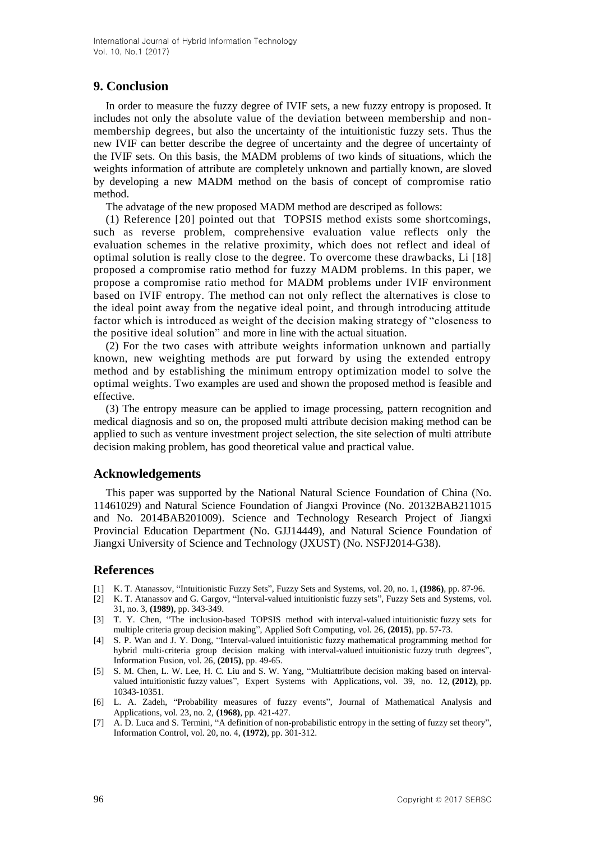# **9. Conclusion**

In order to measure the fuzzy degree of IVIF sets, a new fuzzy entropy is proposed. It includes not only the absolute value of the deviation between membership and nonmembership degrees, but also the uncertainty of the intuitionistic fuzzy sets. Thus the new IVIF can better describe the degree of uncertainty and the degree of uncertainty of the IVIF sets. On this basis, the MADM problems of two kinds of situations, which the weights information of attribute are completely unknown and partially known, are sloved by developing a new MADM method on the basis of concept of compromise ratio method.

The advatage of the new proposed MADM method are descriped as follows:

(1) Reference [20] pointed out that TOPSIS method exists some shortcomings, such as reverse problem, comprehensive evaluation value reflects only the evaluation schemes in the relative proximity, which does not reflect and ideal of optimal solution is really close to the degree. To overcome these drawbacks, Li [18] proposed a compromise ratio method for fuzzy MADM problems. In this paper, we propose a compromise ratio method for MADM problems under IVIF environment based on IVIF entropy. The method can not only reflect the alternatives is close to the ideal point away from the negative ideal point, and through introducing attitude factor which is introduced as weight of the decision making strategy of "closeness to the positive ideal solution" and more in line with the actual situation.

(2) For the two cases with attribute weights information unknown and partially known, new weighting methods are put forward by using the extended entropy method and by establishing the minimum entropy optimization model to solve the optimal weights. Two examples are used and shown the proposed method is feasible and effective.

(3) The entropy measure can be applied to image processing, pattern recognition and medical diagnosis and so on, the proposed multi attribute decision making method can be applied to such as venture investment project selection, the site selection of multi attribute decision making problem, has good theoretical value and practical value.

## **Acknowledgements**

This paper was supported by the National Natural Science Foundation of China (No. 11461029) and Natural Science Foundation of Jiangxi Province (No. 20132BAB211015 and No. 2014BAB201009). Science and Technology Research Project of Jiangxi Provincial Education Department (No. GJJ14449), and Natural Science Foundation of Jiangxi University of Science and Technology (JXUST) (No. NSFJ2014-G38).

## **References**

- [1] K. T. Atanassov, "Intuitionistic Fuzzy Sets", Fuzzy Sets and Systems, vol. 20, no. 1, **(1986)**, pp. 87-96.
- [2] K. T. Atanassov and G. Gargov, "Interval-valued intuitionistic fuzzy sets", Fuzzy Sets and Systems, vol. 31, no. 3, **(1989)**, pp. 343-349.
- [3] T. Y. Chen, "The inclusion-based TOPSIS method with interval-valued intuitionistic fuzzy sets for multiple criteria group decision making", Applied Soft Computing, vol. 26, **(2015)**, pp. 57-73.
- [4] S. P. Wan and J. Y. Dong, "Interval-valued intuitionistic fuzzy mathematical programming method for hybrid multi-criteria group decision making with interval-valued intuitionistic fuzzy truth degrees", Information Fusion, vol. 26, **(2015)**, pp. 49-65.
- [5] S. M. Chen, L. W. Lee, H. C. Liu and S. W. Yang, "Multiattribute decision making based on intervalvalued intuitionistic fuzzy values", Expert Systems with Applications, vol. 39, no. 12, **(2012)**, pp. 10343-10351.
- [6] L. A. Zadeh, "Probability measures of fuzzy events", Journal of Mathematical Analysis and Applications, vol. 23, no. 2, **(1968)**, pp. 421-427.
- [7] A. D. Luca and S. Termini, "A definition of non-probabilistic entropy in the setting of fuzzy set theory", Information Control, vol. 20, no. 4, **(1972)**, pp. 301-312.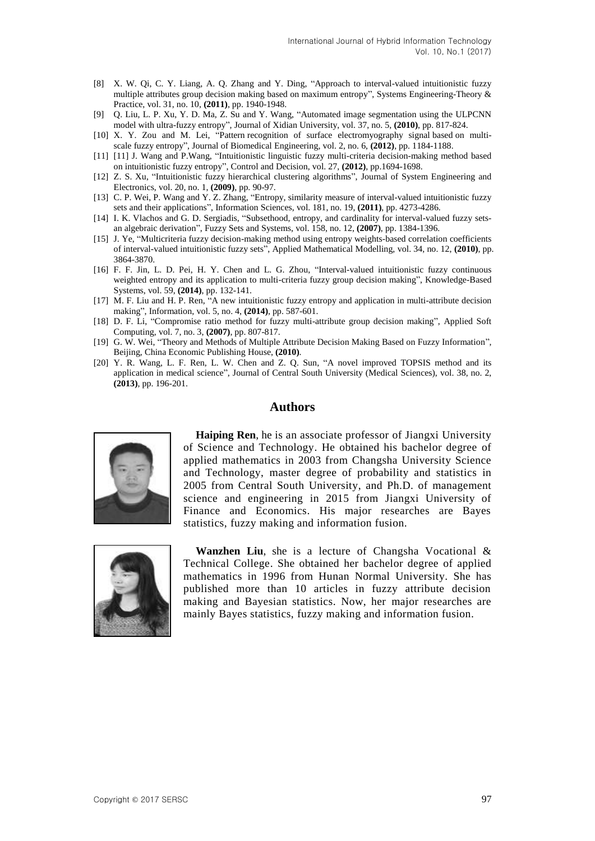- [8] X. W. Qi, C. Y. Liang, A. Q. Zhang and Y. Ding, "Approach to interval-valued intuitionistic fuzzy multiple attributes group decision making based on maximum entropy", Systems Engineering-Theory & Practice, vol. 31, no. 10, **(2011)**, pp. 1940-1948.
- [9] Q. Liu, L. P. Xu, Y. D. Ma, Z. Su and Y. Wang, "Automated image segmentation using the ULPCNN model with ultra-fuzzy entropy", Journal of Xidian University, vol. 37, no. 5, **(2010)**, pp. 817-824.
- [10] X. Y. Zou and M. Lei, "Pattern recognition of surface electromyography signal based on multiscale fuzzy entropy", Journal of Biomedical Engineering, vol. 2, no. 6, **(2012)**, pp. 1184-1188.
- [11] [11] J. Wang and P.Wang, "Intuitionistic linguistic fuzzy multi-criteria decision-making method based on intuitionistic fuzzy entropy", Control and Decision, vol. 27, **(2012)**, pp.1694-1698.
- [12] Z. S. Xu, "Intuitionistic fuzzy hierarchical clustering algorithms", Journal of System Engineering and Electronics, vol. 20, no. 1, **(2009)**, pp. 90-97.
- [13] C. P. Wei, P. Wang and Y. Z. Zhang, "Entropy, similarity measure of interval-valued intuitionistic fuzzy sets and their applications", Information Sciences, vol. 181, no. 19, **(2011)**, pp. 4273-4286.
- [14] I. K. Vlachos and G. D. Sergiadis, "Subsethood, entropy, and cardinality for interval-valued fuzzy setsan algebraic derivation", Fuzzy Sets and Systems, vol. 158, no. 12, **(2007)**, pp. 1384-1396.
- [15] J. Ye, "Multicriteria fuzzy decision-making method using entropy weights-based correlation coefficients of interval-valued intuitionistic fuzzy sets", Applied Mathematical Modelling, vol. 34, no. 12, **(2010)**, pp. 3864-3870.
- [16] F. F. Jin, L. D. Pei, H. Y. Chen and L. G. Zhou, "Interval-valued intuitionistic fuzzy continuous weighted entropy and its application to multi-criteria fuzzy group decision making", Knowledge-Based Systems, vol. 59, **(2014)**, pp. 132-141.
- [17] M. F. Liu and H. P. Ren, "A new intuitionistic fuzzy entropy and application in multi-attribute decision making", Information, vol. 5, no. 4, **(2014)**, pp. 587-601.
- [18] D. F. Li, "Compromise ratio method for fuzzy multi-attribute group decision making", Applied Soft Computing, vol. 7, no. 3, **(2007)**, pp. 807-817.
- [19] G. W. Wei, "Theory and Methods of Multiple Attribute Decision Making Based on Fuzzy Information", Beijing, China Economic Publishing House, **(2010)**.
- [20] Y. R. Wang, L. F. Ren, L. W. Chen and Z. Q. Sun, "A novel improved TOPSIS method and its application in medical science", Journal of Central South University (Medical Sciences), vol. 38, no. 2, **(2013)**, pp. 196-201.

## **Authors**



**Haiping Ren**, he is an associate professor of Jiangxi University of Science and Technology. He obtained his bachelor degree of applied mathematics in 2003 from Changsha University Science and Technology, master degree of probability and statistics in 2005 from Central South University, and Ph.D. of management science and engineering in 2015 from Jiangxi University of Finance and Economics. His major researches are Bayes statistics, fuzzy making and information fusion.



**Wanzhen Liu**, she is a lecture of Changsha Vocational & Technical College. She obtained her bachelor degree of applied mathematics in 1996 from Hunan Normal University. She has published more than 10 articles in fuzzy attribute decision making and Bayesian statistics. Now, her major researches are mainly Bayes statistics, fuzzy making and information fusion.